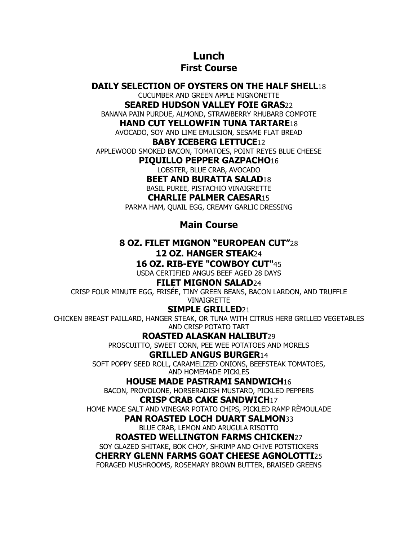# **Lunch**

## **First Course**

### **DAILY SELECTION OF OYSTERS ON THE HALF SHELL**18

CUCUMBER AND GREEN APPLE MIGNONETTE

**SEARED HUDSON VALLEY FOIE GRAS**22

BANANA PAIN PURDUE, ALMOND, STRAWBERRY RHUBARB COMPOTE

#### **HAND CUT YELLOWFIN TUNA TARTARE**18

AVOCADO, SOY AND LIME EMULSION, SESAME FLAT BREAD

#### **BABY ICEBERG LETTUCE**12

APPLEWOOD SMOKED BACON, TOMATOES, POINT REYES BLUE CHEESE

**PIQUILLO PEPPER GAZPACHO**16

LOBSTER, BLUE CRAB, AVOCADO

**BEET AND BURATTA SALAD**18

BASIL PUREE, PISTACHIO VINAIGRETTE

#### **CHARLIE PALMER CAESAR**15

PARMA HAM, QUAIL EGG, CREAMY GARLIC DRESSING

## **Main Course**

#### **8 OZ. FILET MIGNON "EUROPEAN CUT"**28 **12 OZ. HANGER STEAK**24 **16 OZ. RIB-EYE "COWBOY CUT"**45

USDA CERTIFIED ANGUS BEEF AGED 28 DAYS

## **FILET MIGNON SALAD**24

CRISP FOUR MINUTE EGG, FRISÉE, TINY GREEN BEANS, BACON LARDON, AND TRUFFLE VINAIGRETTE

## **SIMPLE GRILLED**21

CHICKEN BREAST PAILLARD, HANGER STEAK, OR TUNA WITH CITRUS HERB GRILLED VEGETABLES AND CRISP POTATO TART

## **ROASTED ALASKAN HALIBUT**29

PROSCUITTO, SWEET CORN, PEE WEE POTATOES AND MORELS

#### **GRILLED ANGUS BURGER**14

SOFT POPPY SEED ROLL, CARAMELIZED ONIONS, BEEFSTEAK TOMATOES, AND HOMEMADE PICKLES

#### **HOUSE MADE PASTRAMI SANDWICH**16

BACON, PROVOLONE, HORSERADISH MUSTARD, PICKLED PEPPERS

## **CRISP CRAB CAKE SANDWICH**17

HOME MADE SALT AND VINEGAR POTATO CHIPS, PICKLED RAMP RÈMOULADE

#### **PAN ROASTED LOCH DUART SALMON**33

BLUE CRAB, LEMON AND ARUGULA RISOTTO

#### **ROASTED WELLINGTON FARMS CHICKEN**27

SOY GLAZED SHITAKE, BOK CHOY, SHRIMP AND CHIVE POTSTICKERS

## **CHERRY GLENN FARMS GOAT CHEESE AGNOLOTTI**25

FORAGED MUSHROOMS, ROSEMARY BROWN BUTTER, BRAISED GREENS